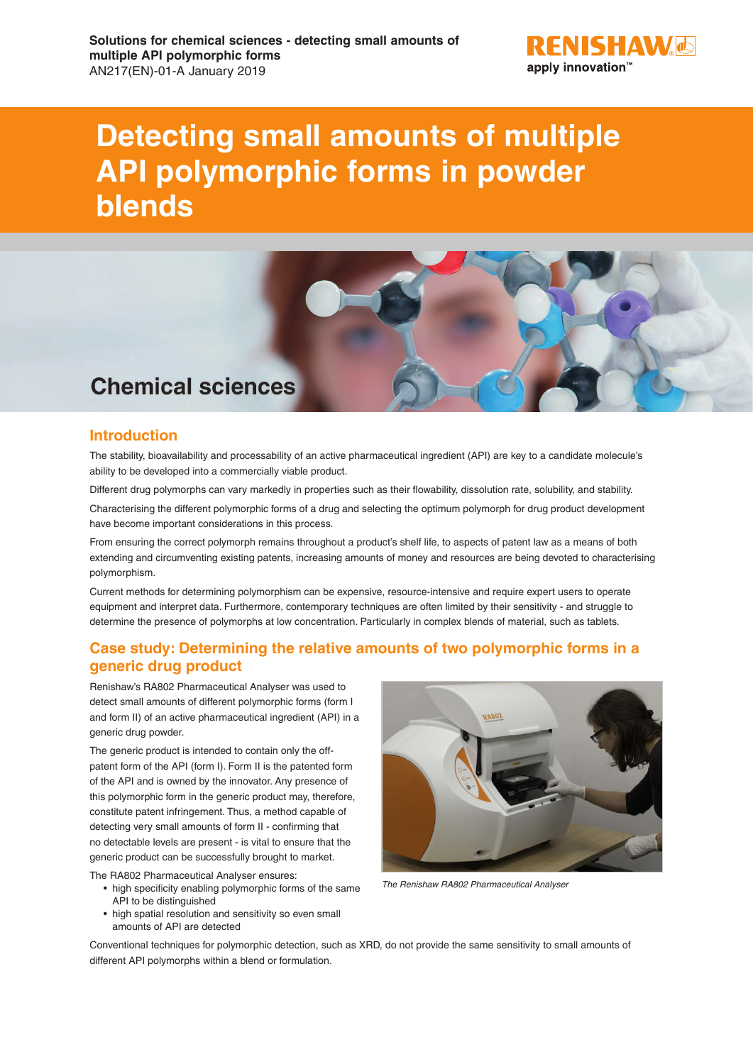

## **Detecting small amounts of multiple API polymorphic forms in powder blends**



### **Introduction**

The stability, bioavailability and processability of an active pharmaceutical ingredient (API) are key to a candidate molecule's ability to be developed into a commercially viable product.

Different drug polymorphs can vary markedly in properties such as their flowability, dissolution rate, solubility, and stability.

Characterising the different polymorphic forms of a drug and selecting the optimum polymorph for drug product development have become important considerations in this process.

From ensuring the correct polymorph remains throughout a product's shelf life, to aspects of patent law as a means of both extending and circumventing existing patents, increasing amounts of money and resources are being devoted to characterising polymorphism.

Current methods for determining polymorphism can be expensive, resource-intensive and require expert users to operate equipment and interpret data. Furthermore, contemporary techniques are often limited by their sensitivity - and struggle to determine the presence of polymorphs at low concentration. Particularly in complex blends of material, such as tablets.

### **Case study: Determining the relative amounts of two polymorphic forms in a generic drug product**

Renishaw's RA802 Pharmaceutical Analyser was used to detect small amounts of different polymorphic forms (form I and form II) of an active pharmaceutical ingredient (API) in a generic drug powder.

The generic product is intended to contain only the offpatent form of the API (form I). Form II is the patented form of the API and is owned by the innovator. Any presence of this polymorphic form in the generic product may, therefore, constitute patent infringement. Thus, a method capable of detecting very small amounts of form II - confirming that no detectable levels are present - is vital to ensure that the generic product can be successfully brought to market.

The RA802 Pharmaceutical Analyser ensures:

- high specificity enabling polymorphic forms of the same API to be distinguished
- high spatial resolution and sensitivity so even small amounts of API are detected



*The Renishaw RA802 Pharmaceutical Analyser*

Conventional techniques for polymorphic detection, such as XRD, do not provide the same sensitivity to small amounts of different API polymorphs within a blend or formulation.